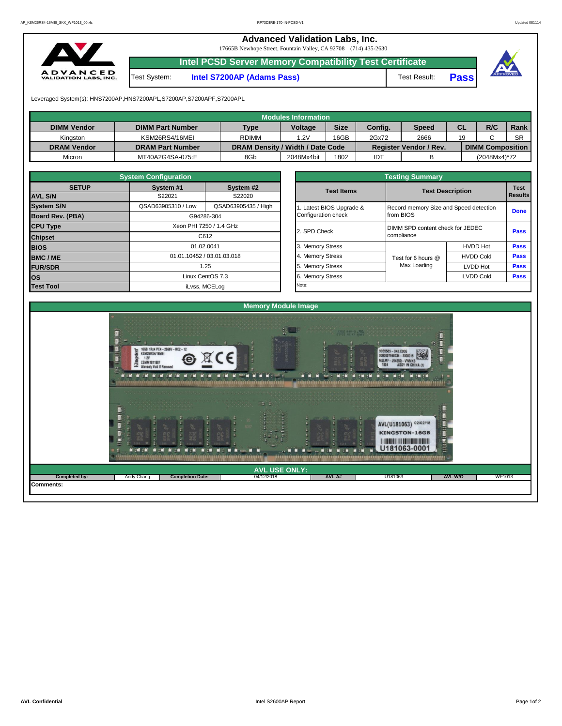**Advanced Validation Labs, Inc.**  17665B Newhope Street, Fountain Valley, CA 92708 (714) 435-2630 **Intel PCSD Server Memory Compatibility Test Certificate** A D V A N C E D<br>VALIDATION LABS, INC. Test System: **Intel S7200AP (Adams Pass)** Test Result: **Pass**



Leveraged System(s): HNS7200AP,HNS7200APL,S7200AP,S7200APF,S7200APL

|                    |                         |                                  | Modules Information |             |         |                               |    |                         |           |
|--------------------|-------------------------|----------------------------------|---------------------|-------------|---------|-------------------------------|----|-------------------------|-----------|
| <b>DIMM Vendor</b> | <b>DIMM Part Number</b> | <b>Type</b>                      | <b>Voltage</b>      | <b>Size</b> | Config. | Speed                         | CL | R/C                     | Rank      |
| Kinaston           | KSM26RS4/16MEI          | <b>RDIMM</b>                     | .2V                 | 16GB        | 2Gx72   | 2666                          | 19 |                         | <b>SR</b> |
| <b>DRAM Vendor</b> | <b>DRAM Part Number</b> | DRAM Density / Width / Date Code |                     |             |         | <b>Register Vendor / Rev.</b> |    | <b>DIMM Composition</b> |           |
| Micron             | MT40A2G4SA-075:E        | 8Gb                              | 2048Mx4bit          | 1802        | IDT     |                               |    | (2048Mx4)*72            |           |

|                         | <b>System Configuration</b> |                            |  |                       |                                  |                                        |             |  |  |  |  |
|-------------------------|-----------------------------|----------------------------|--|-----------------------|----------------------------------|----------------------------------------|-------------|--|--|--|--|
| <b>SETUP</b>            | System #1<br>System #2      |                            |  | <b>Test Items</b>     |                                  | <b>Test</b>                            |             |  |  |  |  |
| <b>AVL S/N</b>          | S22021                      | S22020                     |  |                       |                                  | <b>Test Description</b>                |             |  |  |  |  |
| <b>System S/N</b>       | QSAD63905310 / Low          | QSAD63905435 / High        |  | Latest BIOS Upgrade & |                                  | Record memory Size and Speed detection |             |  |  |  |  |
| <b>Board Rev. (PBA)</b> |                             | G94286-304                 |  | Configuration check   | from BIOS                        |                                        |             |  |  |  |  |
| <b>CPU Type</b>         |                             | Xeon PHI 7250 / 1.4 GHz    |  | 2. SPD Check          | DIMM SPD content check for JEDEC |                                        |             |  |  |  |  |
| <b>Chipset</b>          |                             | C612                       |  |                       | compliance                       |                                        |             |  |  |  |  |
| <b>BIOS</b>             |                             | 01.02.0041                 |  | 3. Memory Stress      |                                  | <b>HVDD Hot</b>                        | <b>Pass</b> |  |  |  |  |
| BMC/ME                  |                             | 01.01.10452 / 03.01.03.018 |  | 4. Memory Stress      | Test for 6 hours @               | <b>HVDD Cold</b>                       | Pass        |  |  |  |  |
| <b>FUR/SDR</b>          |                             | 1.25                       |  | 5. Memory Stress      | Max Loading                      | <b>LVDD Hot</b>                        | Pass        |  |  |  |  |
| <b>los</b>              |                             | Linux CentOS 7.3           |  | 6. Memory Stress      |                                  | <b>LVDD Cold</b>                       | <b>Pass</b> |  |  |  |  |
| <b>Test Tool</b>        | iLvss, MCELog               |                            |  |                       | Note:                            |                                        |             |  |  |  |  |

|              | <b>System Configuration</b> |                            | <b>Testing Summary</b> |                                        |                  |                |  |  |  |  |  |
|--------------|-----------------------------|----------------------------|------------------------|----------------------------------------|------------------|----------------|--|--|--|--|--|
| <b>SETUP</b> | System #1                   | System #2                  | <b>Test Items</b>      | <b>Test Description</b>                |                  | <b>Test</b>    |  |  |  |  |  |
|              | S22021                      | S22020                     |                        |                                        |                  | <b>Results</b> |  |  |  |  |  |
|              | QSAD63905310 / Low          | QSAD63905435 / High        | Latest BIOS Upgrade &  | Record memory Size and Speed detection |                  |                |  |  |  |  |  |
| PBA)         |                             | G94286-304                 | Configuration check    | from BIOS                              |                  |                |  |  |  |  |  |
|              |                             | Xeon PHI 7250 / 1.4 GHz    |                        | DIMM SPD content check for JEDEC       |                  |                |  |  |  |  |  |
|              |                             | C612                       | 2. SPD Check           | compliance                             |                  | Pass           |  |  |  |  |  |
|              |                             | 01.02.0041                 | 3. Memory Stress       |                                        | <b>HVDD Hot</b>  | Pass           |  |  |  |  |  |
|              |                             | 01.01.10452 / 03.01.03.018 | 4. Memory Stress       | Test for 6 hours @                     | <b>HVDD Cold</b> | Pass           |  |  |  |  |  |
|              |                             | 1.25                       | 5. Memory Stress       | Max Loading                            | LVDD Hot         | Pass           |  |  |  |  |  |
|              |                             | Linux CentOS 7.3           | 6. Memory Stress       |                                        | <b>LVDD Cold</b> |                |  |  |  |  |  |
|              |                             | il vee $MCFL$ og           | Note:                  |                                        |                  |                |  |  |  |  |  |